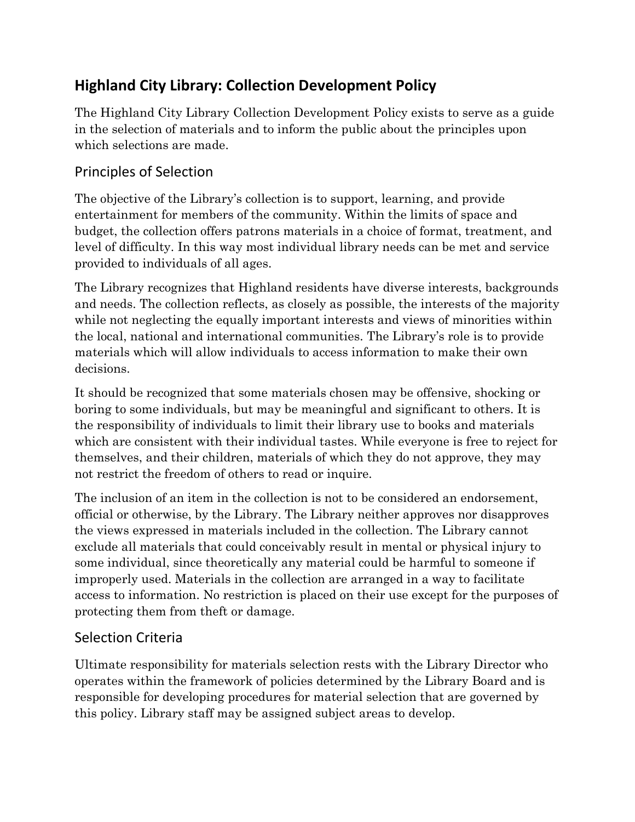# **Highland City Library: Collection Development Policy**

The Highland City Library Collection Development Policy exists to serve as a guide in the selection of materials and to inform the public about the principles upon which selections are made.

## Principles of Selection

The objective of the Library's collection is to support, learning, and provide entertainment for members of the community. Within the limits of space and budget, the collection offers patrons materials in a choice of format, treatment, and level of difficulty. In this way most individual library needs can be met and service provided to individuals of all ages.

The Library recognizes that Highland residents have diverse interests, backgrounds and needs. The collection reflects, as closely as possible, the interests of the majority while not neglecting the equally important interests and views of minorities within the local, national and international communities. The Library's role is to provide materials which will allow individuals to access information to make their own decisions.

It should be recognized that some materials chosen may be offensive, shocking or boring to some individuals, but may be meaningful and significant to others. It is the responsibility of individuals to limit their library use to books and materials which are consistent with their individual tastes. While everyone is free to reject for themselves, and their children, materials of which they do not approve, they may not restrict the freedom of others to read or inquire.

The inclusion of an item in the collection is not to be considered an endorsement, official or otherwise, by the Library. The Library neither approves nor disapproves the views expressed in materials included in the collection. The Library cannot exclude all materials that could conceivably result in mental or physical injury to some individual, since theoretically any material could be harmful to someone if improperly used. Materials in the collection are arranged in a way to facilitate access to information. No restriction is placed on their use except for the purposes of protecting them from theft or damage.

## Selection Criteria

Ultimate responsibility for materials selection rests with the Library Director who operates within the framework of policies determined by the Library Board and is responsible for developing procedures for material selection that are governed by this policy. Library staff may be assigned subject areas to develop.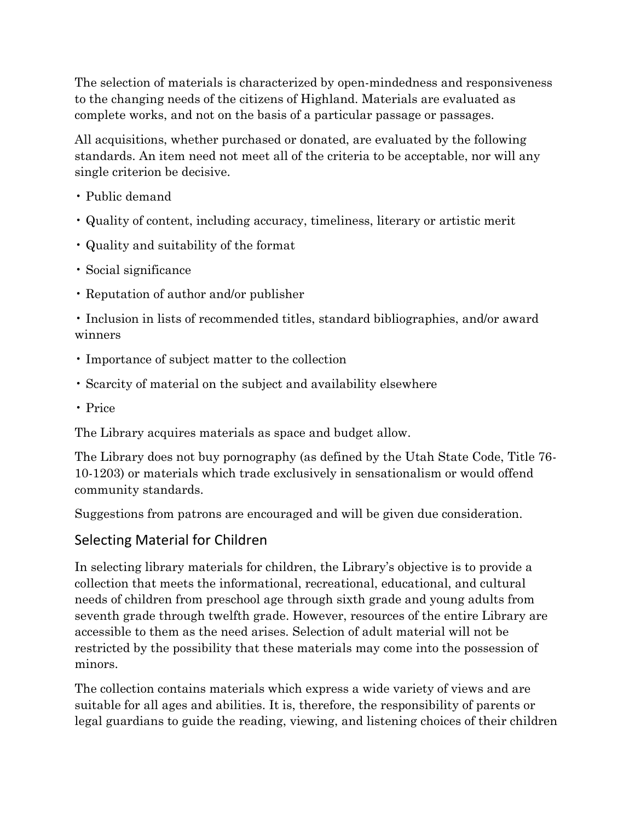The selection of materials is characterized by open-mindedness and responsiveness to the changing needs of the citizens of Highland. Materials are evaluated as complete works, and not on the basis of a particular passage or passages.

All acquisitions, whether purchased or donated, are evaluated by the following standards. An item need not meet all of the criteria to be acceptable, nor will any single criterion be decisive.

- Public demand
- Quality of content, including accuracy, timeliness, literary or artistic merit
- Quality and suitability of the format
- Social significance
- Reputation of author and/or publisher

• Inclusion in lists of recommended titles, standard bibliographies, and/or award winners

- Importance of subject matter to the collection
- Scarcity of material on the subject and availability elsewhere
- Price

The Library acquires materials as space and budget allow.

The Library does not buy pornography (as defined by the Utah State Code, Title 76- 10-1203) or materials which trade exclusively in sensationalism or would offend community standards.

Suggestions from patrons are encouraged and will be given due consideration.

#### Selecting Material for Children

In selecting library materials for children, the Library's objective is to provide a collection that meets the informational, recreational, educational, and cultural needs of children from preschool age through sixth grade and young adults from seventh grade through twelfth grade. However, resources of the entire Library are accessible to them as the need arises. Selection of adult material will not be restricted by the possibility that these materials may come into the possession of minors.

The collection contains materials which express a wide variety of views and are suitable for all ages and abilities. It is, therefore, the responsibility of parents or legal guardians to guide the reading, viewing, and listening choices of their children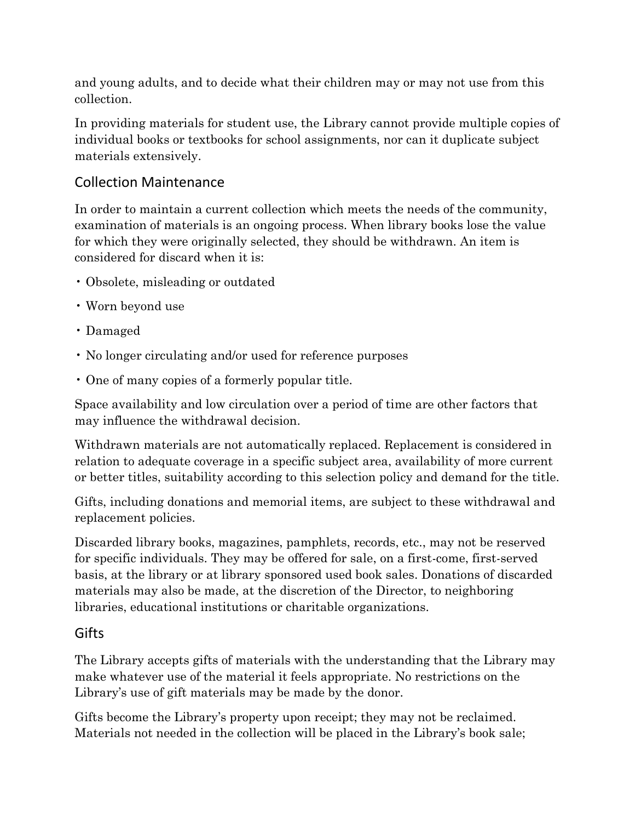and young adults, and to decide what their children may or may not use from this collection.

In providing materials for student use, the Library cannot provide multiple copies of individual books or textbooks for school assignments, nor can it duplicate subject materials extensively.

## Collection Maintenance

In order to maintain a current collection which meets the needs of the community, examination of materials is an ongoing process. When library books lose the value for which they were originally selected, they should be withdrawn. An item is considered for discard when it is:

- Obsolete, misleading or outdated
- Worn beyond use
- Damaged
- No longer circulating and/or used for reference purposes
- One of many copies of a formerly popular title.

Space availability and low circulation over a period of time are other factors that may influence the withdrawal decision.

Withdrawn materials are not automatically replaced. Replacement is considered in relation to adequate coverage in a specific subject area, availability of more current or better titles, suitability according to this selection policy and demand for the title.

Gifts, including donations and memorial items, are subject to these withdrawal and replacement policies.

Discarded library books, magazines, pamphlets, records, etc., may not be reserved for specific individuals. They may be offered for sale, on a first-come, first-served basis, at the library or at library sponsored used book sales. Donations of discarded materials may also be made, at the discretion of the Director, to neighboring libraries, educational institutions or charitable organizations.

#### **Gifts**

The Library accepts gifts of materials with the understanding that the Library may make whatever use of the material it feels appropriate. No restrictions on the Library's use of gift materials may be made by the donor.

Gifts become the Library's property upon receipt; they may not be reclaimed. Materials not needed in the collection will be placed in the Library's book sale;